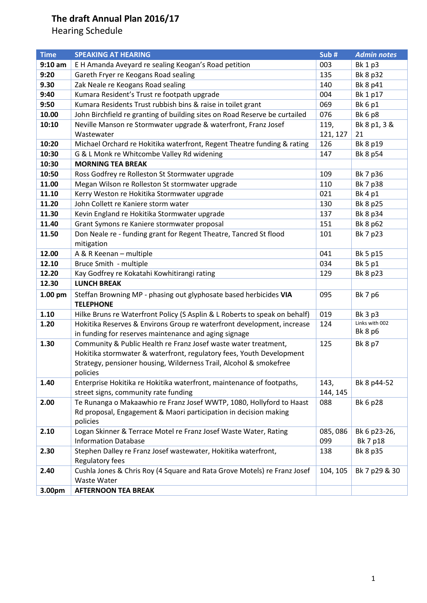| <b>Time</b> | <b>SPEAKING AT HEARING</b>                                                        | Sub#     | <b>Admin notes</b>        |
|-------------|-----------------------------------------------------------------------------------|----------|---------------------------|
| $9:10$ am   | E H Amanda Aveyard re sealing Keogan's Road petition                              | 003      | <b>Bk 1 p3</b>            |
| 9:20        | Gareth Fryer re Keogans Road sealing                                              | 135      | Bk 8 p32                  |
| 9.30        | Zak Neale re Keogans Road sealing                                                 | 140      | Bk 8 p41                  |
| 9:40        | Kumara Resident's Trust re footpath upgrade                                       | 004      | Bk 1 p17                  |
| 9:50        | Kumara Residents Trust rubbish bins & raise in toilet grant                       | 069      | <b>Bk 6 p1</b>            |
| 10.00       | John Birchfield re granting of building sites on Road Reserve be curtailed        | 076      | <b>Bk 6 p8</b>            |
| 10:10       | Neville Manson re Stormwater upgrade & waterfront, Franz Josef                    | 119,     | Bk 8 p1, 3 &              |
|             | Wastewater                                                                        | 121, 127 | 21                        |
| 10:20       | Michael Orchard re Hokitika waterfront, Regent Theatre funding & rating           | 126      | Bk 8 p19                  |
| 10:30       | G & L Monk re Whitcombe Valley Rd widening                                        | 147      | Bk 8 p54                  |
| 10:30       | <b>MORNING TEA BREAK</b>                                                          |          |                           |
| 10:50       | Ross Godfrey re Rolleston St Stormwater upgrade                                   | 109      | Bk 7 p36                  |
| 11.00       | Megan Wilson re Rolleston St stormwater upgrade                                   | 110      | Bk 7 p38                  |
| 11.10       | Kerry Weston re Hokitika Stormwater upgrade                                       | 021      | Bk 4 p1                   |
| 11.20       | John Collett re Kaniere storm water                                               | 130      | Bk 8 p25                  |
| 11.30       | Kevin England re Hokitika Stormwater upgrade                                      | 137      | Bk 8 p34                  |
| 11.40       | Grant Symons re Kaniere stormwater proposal                                       | 151      | Bk 8 p62                  |
| 11.50       | Don Neale re - funding grant for Regent Theatre, Tancred St flood                 | 101      | Bk 7 p23                  |
|             | mitigation                                                                        |          |                           |
| 12.00       | A & R Keenan - multiple                                                           | 041      | Bk 5 p15                  |
| 12.10       | Bruce Smith - multiple                                                            | 034      | <b>Bk 5 p1</b>            |
| 12.20       | Kay Godfrey re Kokatahi Kowhitirangi rating                                       | 129      | Bk 8 p23                  |
| 12.30       | <b>LUNCH BREAK</b>                                                                |          |                           |
| 1.00 pm     | Steffan Browning MP - phasing out glyphosate based herbicides VIA                 | 095      | Bk 7 p6                   |
|             | <b>TELEPHONE</b>                                                                  |          |                           |
| 1.10        | Hilke Bruns re Waterfront Policy (S Asplin & L Roberts to speak on behalf)        | 019      | <b>Bk 3 p3</b>            |
| 1.20        | Hokitika Reserves & Environs Group re waterfront development, increase            | 124      | Links with 002<br>Bk 8 p6 |
|             | in funding for reserves maintenance and aging signage                             |          |                           |
| 1.30        | Community & Public Health re Franz Josef waste water treatment,                   | 125      | <b>Bk 8 p7</b>            |
|             | Hokitika stormwater & waterfront, regulatory fees, Youth Development              |          |                           |
|             | Strategy, pensioner housing, Wilderness Trail, Alcohol & smokefree                |          |                           |
| 1.40        | policies<br>Enterprise Hokitika re Hokitika waterfront, maintenance of footpaths, | 143,     | Bk 8 p44-52               |
|             | street signs, community rate funding                                              | 144, 145 |                           |
| 2.00        | Te Runanga o Makaawhio re Franz Josef WWTP, 1080, Hollyford to Haast              | 088      | Bk 6 p28                  |
|             | Rd proposal, Engagement & Maori participation in decision making                  |          |                           |
|             | policies                                                                          |          |                           |
| 2.10        | Logan Skinner & Terrace Motel re Franz Josef Waste Water, Rating                  | 085,086  | Bk 6 p23-26,              |
|             | <b>Information Database</b>                                                       | 099      | Bk 7 p18                  |
| 2.30        | Stephen Dalley re Franz Josef wastewater, Hokitika waterfront,                    | 138      | Bk 8 p35                  |
|             | Regulatory fees                                                                   |          |                           |
| 2.40        | Cushla Jones & Chris Roy (4 Square and Rata Grove Motels) re Franz Josef          | 104, 105 | Bk 7 p29 & 30             |
|             | <b>Waste Water</b>                                                                |          |                           |
| 3.00pm      | <b>AFTERNOON TEA BREAK</b>                                                        |          |                           |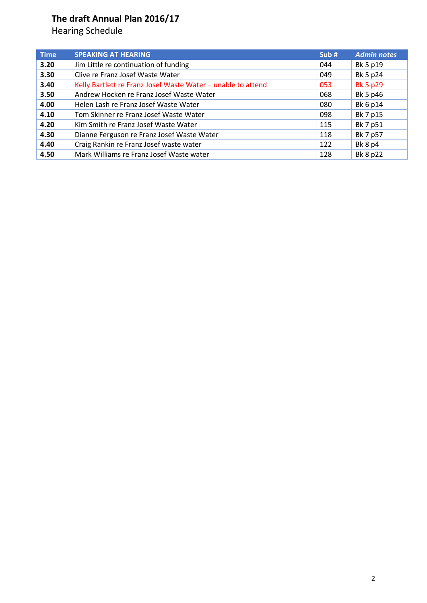| <b>Time</b> | <b>SPEAKING AT HEARING</b>                                   | Sub# | <b>Admin notes</b> |
|-------------|--------------------------------------------------------------|------|--------------------|
| 3.20        | Jim Little re continuation of funding                        | 044  | Bk 5 p19           |
| 3.30        | Clive re Franz Josef Waste Water                             | 049  | Bk 5 p24           |
| 3.40        | Kelly Bartlett re Franz Josef Waste Water - unable to attend | 053  | <b>Bk 5 p29</b>    |
| 3.50        | Andrew Hocken re Franz Josef Waste Water                     | 068  | Bk 5 p46           |
| 4.00        | Helen Lash re Franz Josef Waste Water                        | 080  | Bk 6 p14           |
| 4.10        | Tom Skinner re Franz Josef Waste Water                       | 098  | Bk 7 p15           |
| 4.20        | Kim Smith re Franz Josef Waste Water                         | 115  | Bk 7 p51           |
| 4.30        | Dianne Ferguson re Franz Josef Waste Water                   | 118  | Bk 7 p57           |
| 4.40        | Craig Rankin re Franz Josef waste water                      | 122  | <b>Bk 8 p4</b>     |
| 4.50        | Mark Williams re Franz Josef Waste water                     | 128  | Bk 8 p22           |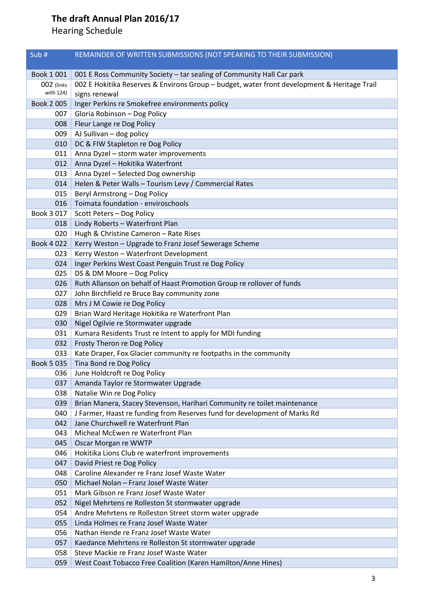| Sub#                    | REMAINDER OF WRITTEN SUBMISSIONS (NOT SPEAKING TO THEIR SUBMISSION)                                             |  |
|-------------------------|-----------------------------------------------------------------------------------------------------------------|--|
|                         |                                                                                                                 |  |
| Book 1 001              | 001 E Ross Community Society - tar sealing of Community Hall Car park                                           |  |
| 002 (links<br>with 124) | 002 E Hokitika Reserves & Environs Group - budget, water front development & Heritage Trail                     |  |
|                         | signs renewal                                                                                                   |  |
| Book 2 005              | Inger Perkins re Smokefree environments policy                                                                  |  |
| 007                     | Gloria Robinson - Dog Policy                                                                                    |  |
| 008                     | Fleur Lange re Dog Policy                                                                                       |  |
| 009                     | AJ Sullivan - dog policy                                                                                        |  |
| 010                     | DC & FIW Stapleton re Dog Policy                                                                                |  |
| 011                     | Anna Dyzel - storm water improvements                                                                           |  |
| 012<br>013              | Anna Dyzel - Hokitika Waterfront                                                                                |  |
|                         | Anna Dyzel - Selected Dog ownership                                                                             |  |
| 014                     | Helen & Peter Walls - Tourism Levy / Commercial Rates                                                           |  |
| 015                     | Beryl Armstrong - Dog Policy<br>Toimata foundation - enviroschools                                              |  |
| 016                     |                                                                                                                 |  |
| Book 3 017              | Scott Peters - Dog Policy                                                                                       |  |
| 018                     | Lindy Roberts - Waterfront Plan                                                                                 |  |
| 020                     | Hugh & Christine Cameron - Rate Rises                                                                           |  |
| Book 4 022              | Kerry Weston - Upgrade to Franz Josef Sewerage Scheme                                                           |  |
| 023                     | Kerry Weston - Waterfront Development                                                                           |  |
| 024                     | Inger Perkins West Coast Penguin Trust re Dog Policy                                                            |  |
| 025                     | DS & DM Moore - Dog Policy                                                                                      |  |
| 026                     | Ruth Allanson on behalf of Haast Promotion Group re rollover of funds                                           |  |
| 027                     | John Birchfield re Bruce Bay community zone                                                                     |  |
| 028                     | Mrs J M Cowie re Dog Policy                                                                                     |  |
| 029                     | Brian Ward Heritage Hokitika re Waterfront Plan                                                                 |  |
| 030                     | Nigel Ogilvie re Stormwater upgrade                                                                             |  |
| 031                     | Kumara Residents Trust re Intent to apply for MDI funding                                                       |  |
| 032                     | Frosty Theron re Dog Policy                                                                                     |  |
| 033                     | Kate Draper, Fox Glacier community re footpaths in the community                                                |  |
| Book 5 035              | Tina Bond re Dog Policy                                                                                         |  |
| 036                     | June Holdcroft re Dog Policy                                                                                    |  |
| 037                     | Amanda Taylor re Stormwater Upgrade                                                                             |  |
| 038<br>039              | Natalie Win re Dog Policy                                                                                       |  |
| 040                     | Brian Manera, Stacey Stevenson, Harihari Community re toilet maintenance                                        |  |
| 042                     | J Farmer, Haast re funding from Reserves fund for development of Marks Rd<br>Jane Churchwell re Waterfront Plan |  |
| 043                     | Micheal McEwen re Waterfront Plan                                                                               |  |
| 045                     | Oscar Morgan re WWTP                                                                                            |  |
| 046                     | Hokitika Lions Club re waterfront improvements                                                                  |  |
| 047                     | David Priest re Dog Policy                                                                                      |  |
| 048                     | Caroline Alexander re Franz Josef Waste Water                                                                   |  |
| 050                     | Michael Nolan - Franz Josef Waste Water                                                                         |  |
| 051                     | Mark Gibson re Franz Josef Waste Water                                                                          |  |
| 052                     | Nigel Mehrtens re Rolleston St stormwater upgrade                                                               |  |
| 054                     | Andre Mehrtens re Rolleston Street storm water upgrade                                                          |  |
| 055                     | Linda Holmes re Franz Josef Waste Water                                                                         |  |
| 056                     | Nathan Hende re Franz Josef Waste Water                                                                         |  |
| 057                     | Kaedance Mehrtens re Rolleston St stormwater upgrade                                                            |  |
| 058                     | Steve Mackie re Franz Josef Waste Water                                                                         |  |
|                         |                                                                                                                 |  |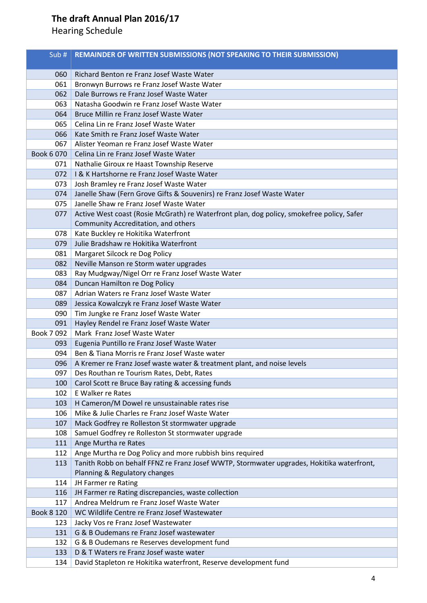| Sub $#$           | REMAINDER OF WRITTEN SUBMISSIONS (NOT SPEAKING TO THEIR SUBMISSION)                       |
|-------------------|-------------------------------------------------------------------------------------------|
| 060               | Richard Benton re Franz Josef Waste Water                                                 |
| 061               | Bronwyn Burrows re Franz Josef Waste Water                                                |
| 062               | Dale Burrows re Franz Josef Waste Water                                                   |
| 063               | Natasha Goodwin re Franz Josef Waste Water                                                |
| 064               | Bruce Millin re Franz Josef Waste Water                                                   |
| 065               | Celina Lin re Franz Josef Waste Water                                                     |
| 066               | Kate Smith re Franz Josef Waste Water                                                     |
| 067               | Alister Yeoman re Franz Josef Waste Water                                                 |
| Book 6 070        | Celina Lin re Franz Josef Waste Water                                                     |
| 071               | Nathalie Giroux re Haast Township Reserve                                                 |
| 072               | I & K Hartshorne re Franz Josef Waste Water                                               |
| 073               | Josh Bramley re Franz Josef Waste Water                                                   |
| 074               | Janelle Shaw (Fern Grove Gifts & Souvenirs) re Franz Josef Waste Water                    |
| 075               | Janelle Shaw re Franz Josef Waste Water                                                   |
| 077               | Active West coast (Rosie McGrath) re Waterfront plan, dog policy, smokefree policy, Safer |
|                   | Community Accreditation, and others                                                       |
| 078               | Kate Buckley re Hokitika Waterfront                                                       |
| 079               | Julie Bradshaw re Hokitika Waterfront                                                     |
| 081               | Margaret Silcock re Dog Policy                                                            |
| 082               | Neville Manson re Storm water upgrades                                                    |
| 083               | Ray Mudgway/Nigel Orr re Franz Josef Waste Water                                          |
| 084               | Duncan Hamilton re Dog Policy                                                             |
| 087               | Adrian Waters re Franz Josef Waste Water                                                  |
| 089               | Jessica Kowalczyk re Franz Josef Waste Water                                              |
| 090               | Tim Jungke re Franz Josef Waste Water                                                     |
| 091               | Hayley Rendel re Franz Josef Waste Water                                                  |
| Book 7 092        | Mark Franz Josef Waste Water                                                              |
| 093               | Eugenia Puntillo re Franz Josef Waste Water                                               |
| 094               | Ben & Tiana Morris re Franz Josef Waste water                                             |
| 096               | A Kremer re Franz Josef waste water & treatment plant, and noise levels                   |
| 097               | Des Routhan re Tourism Rates, Debt, Rates                                                 |
| 100               | Carol Scott re Bruce Bay rating & accessing funds                                         |
| 102               | E Walker re Rates                                                                         |
| 103               | H Cameron/M Dowel re unsustainable rates rise                                             |
| 106               | Mike & Julie Charles re Franz Josef Waste Water                                           |
| 107               | Mack Godfrey re Rolleston St stormwater upgrade                                           |
| 108               | Samuel Godfrey re Rolleston St stormwater upgrade                                         |
| 111               | Ange Murtha re Rates                                                                      |
| 112               | Ange Murtha re Dog Policy and more rubbish bins required                                  |
| 113               | Tanith Robb on behalf FFNZ re Franz Josef WWTP, Stormwater upgrades, Hokitika waterfront, |
|                   | Planning & Regulatory changes                                                             |
| 114               | JH Farmer re Rating                                                                       |
| 116               | JH Farmer re Rating discrepancies, waste collection                                       |
| 117               | Andrea Meldrum re Franz Josef Waste Water                                                 |
| <b>Book 8 120</b> | WC Wildlife Centre re Franz Josef Wastewater                                              |
| 123               | Jacky Vos re Franz Josef Wastewater                                                       |
| 131               | G & B Oudemans re Franz Josef wastewater                                                  |
| 132               | G & B Oudemans re Reserves development fund                                               |
| 133               | D & T Waters re Franz Josef waste water                                                   |
| 134               | David Stapleton re Hokitika waterfront, Reserve development fund                          |